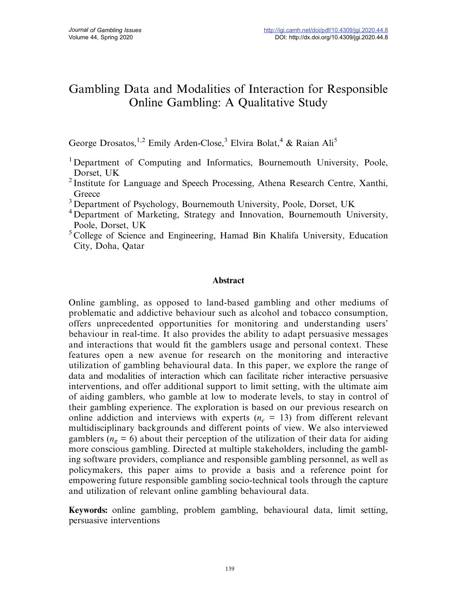# Gambling Data and Modalities of Interaction for Responsible Online Gambling: A Qualitative Study

George Drosatos, <sup>1,2</sup> Emily Arden-Close,<sup>3</sup> Elvira Bolat, <sup>4</sup> & Raian Ali<sup>5</sup>

- <sup>1</sup> Department of Computing and Informatics, Bournemouth University, Poole, Dorset, UK
- <sup>2</sup> Institute for Language and Speech Processing, Athena Research Centre, Xanthi, **Greece**
- <sup>3</sup> Department of Psychology, Bournemouth University, Poole, Dorset, UK
- <sup>4</sup> Department of Marketing, Strategy and Innovation, Bournemouth University, Poole, Dorset, UK
- <sup>5</sup> College of Science and Engineering, Hamad Bin Khalifa University, Education City, Doha, Qatar

## Abstract

Online gambling, as opposed to land-based gambling and other mediums of problematic and addictive behaviour such as alcohol and tobacco consumption, offers unprecedented opportunities for monitoring and understanding users' behaviour in real-time. It also provides the ability to adapt persuasive messages and interactions that would fit the gamblers usage and personal context. These features open a new avenue for research on the monitoring and interactive utilization of gambling behavioural data. In this paper, we explore the range of data and modalities of interaction which can facilitate richer interactive persuasive interventions, and offer additional support to limit setting, with the ultimate aim of aiding gamblers, who gamble at low to moderate levels, to stay in control of their gambling experience. The exploration is based on our previous research on online addiction and interviews with experts ( $n_e$  = 13) from different relevant multidisciplinary backgrounds and different points of view. We also interviewed gamblers ( $n_g = 6$ ) about their perception of the utilization of their data for aiding more conscious gambling. Directed at multiple stakeholders, including the gambling software providers, compliance and responsible gambling personnel, as well as policymakers, this paper aims to provide a basis and a reference point for empowering future responsible gambling socio-technical tools through the capture and utilization of relevant online gambling behavioural data.

Keywords: online gambling, problem gambling, behavioural data, limit setting, persuasive interventions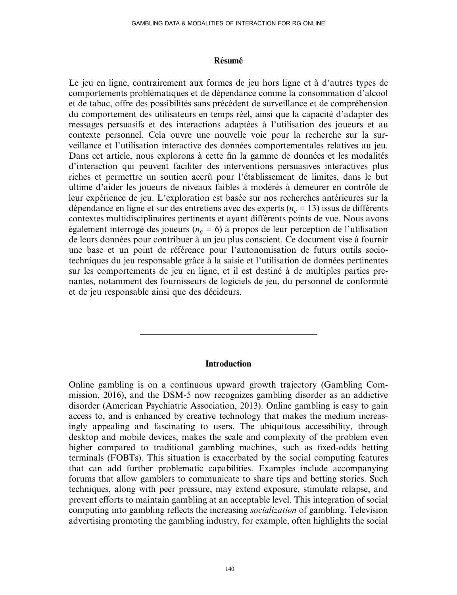#### Résumé

Le jeu en ligne, contrairement aux formes de jeu hors ligne et à d'autres types de comportements problématiques et de dépendance comme la consommation d'alcool et de tabac, offre des possibilités sans précédent de surveillance et de compréhension du comportement des utilisateurs en temps réel, ainsi que la capacité d'adapter des messages persuasifs et des interactions adaptées à l'utilisation des joueurs et au contexte personnel. Cela ouvre une nouvelle voie pour la recherche sur la surveillance et l'utilisation interactive des données comportementales relatives au jeu. Dans cet article, nous explorons à cette fin la gamme de données et les modalités d'interaction qui peuvent faciliter des interventions persuasives interactives plus riches et permettre un soutien accrû pour l'établissement de limites, dans le but ultime d'aider les joueurs de niveaux faibles à modérés à demeurer en contrôle de leur expérience de jeu. L'exploration est basée sur nos recherches antérieures sur la dépendance en ligne et sur des entretiens avec des experts ( $n_e$  = 13) issus de différents contextes multidisciplinaires pertinents et ayant différents points de vue. Nous avons également interrogé des joueurs ( $n_g = 6$ ) à propos de leur perception de l'utilisation de leurs données pour contribuer à un jeu plus conscient. Ce document vise à fournir une base et un point de référence pour l'autonomisation de futurs outils sociotechniques du jeu responsable grâce à la saisie et l'utilisation de données pertinentes sur les comportements de jeu en ligne, et il est destiné à de multiples parties prenantes, notamment des fournisseurs de logiciels de jeu, du personnel de conformité et de jeu responsable ainsi que des décideurs.

#### Introduction

Online gambling is on a continuous upward growth trajectory (Gambling Commission, 2016), and the DSM-5 now recognizes gambling disorder as an addictive disorder (American Psychiatric Association, 2013). Online gambling is easy to gain access to, and is enhanced by creative technology that makes the medium increasingly appealing and fascinating to users. The ubiquitous accessibility, through desktop and mobile devices, makes the scale and complexity of the problem even higher compared to traditional gambling machines, such as fixed-odds betting terminals (FOBTs). This situation is exacerbated by the social computing features that can add further problematic capabilities. Examples include accompanying forums that allow gamblers to communicate to share tips and betting stories. Such techniques, along with peer pressure, may extend exposure, stimulate relapse, and prevent efforts to maintain gambling at an acceptable level. This integration of social computing into gambling reflects the increasing socialization of gambling. Television advertising promoting the gambling industry, for example, often highlights the social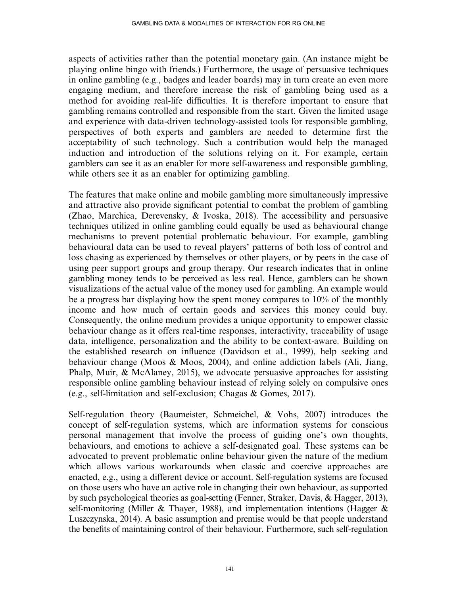aspects of activities rather than the potential monetary gain. (An instance might be playing online bingo with friends.) Furthermore, the usage of persuasive techniques in online gambling (e.g., badges and leader boards) may in turn create an even more engaging medium, and therefore increase the risk of gambling being used as a method for avoiding real-life difficulties. It is therefore important to ensure that gambling remains controlled and responsible from the start. Given the limited usage and experience with data-driven technology-assisted tools for responsible gambling, perspectives of both experts and gamblers are needed to determine first the acceptability of such technology. Such a contribution would help the managed induction and introduction of the solutions relying on it. For example, certain gamblers can see it as an enabler for more self-awareness and responsible gambling, while others see it as an enabler for optimizing gambling.

The features that make online and mobile gambling more simultaneously impressive and attractive also provide significant potential to combat the problem of gambling (Zhao, Marchica, Derevensky, & Ivoska, 2018). The accessibility and persuasive techniques utilized in online gambling could equally be used as behavioural change mechanisms to prevent potential problematic behaviour. For example, gambling behavioural data can be used to reveal players' patterns of both loss of control and loss chasing as experienced by themselves or other players, or by peers in the case of using peer support groups and group therapy. Our research indicates that in online gambling money tends to be perceived as less real. Hence, gamblers can be shown visualizations of the actual value of the money used for gambling. An example would be a progress bar displaying how the spent money compares to 10% of the monthly income and how much of certain goods and services this money could buy. Consequently, the online medium provides a unique opportunity to empower classic behaviour change as it offers real-time responses, interactivity, traceability of usage data, intelligence, personalization and the ability to be context-aware. Building on the established research on influence (Davidson et al., 1999), help seeking and behaviour change (Moos & Moos, 2004), and online addiction labels (Ali, Jiang, Phalp, Muir, & McAlaney, 2015), we advocate persuasive approaches for assisting responsible online gambling behaviour instead of relying solely on compulsive ones (e.g., self-limitation and self-exclusion; Chagas & Gomes, 2017).

Self-regulation theory (Baumeister, Schmeichel, & Vohs, 2007) introduces the concept of self-regulation systems, which are information systems for conscious personal management that involve the process of guiding one's own thoughts, behaviours, and emotions to achieve a self-designated goal. These systems can be advocated to prevent problematic online behaviour given the nature of the medium which allows various workarounds when classic and coercive approaches are enacted, e.g., using a different device or account. Self-regulation systems are focused on those users who have an active role in changing their own behaviour, as supported by such psychological theories as goal-setting (Fenner, Straker, Davis, & Hagger, 2013), self-monitoring (Miller & Thayer, 1988), and implementation intentions (Hagger  $\&$ Luszczynska, 2014). A basic assumption and premise would be that people understand the benefits of maintaining control of their behaviour. Furthermore, such self-regulation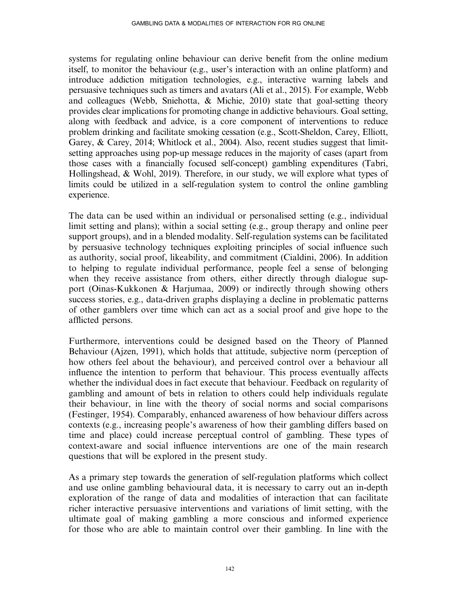systems for regulating online behaviour can derive benefit from the online medium itself, to monitor the behaviour (e.g., user's interaction with an online platform) and introduce addiction mitigation technologies, e.g., interactive warning labels and persuasive techniques such as timers and avatars (Ali et al., 2015). For example, Webb and colleagues (Webb, Sniehotta, & Michie, 2010) state that goal-setting theory provides clear implications for promoting change in addictive behaviours. Goal setting, along with feedback and advice, is a core component of interventions to reduce problem drinking and facilitate smoking cessation (e.g., Scott-Sheldon, Carey, Elliott, Garey, & Carey, 2014; Whitlock et al., 2004). Also, recent studies suggest that limitsetting approaches using pop-up message reduces in the majority of cases (apart from those cases with a financially focused self-concept) gambling expenditures (Tabri, Hollingshead, & Wohl, 2019). Therefore, in our study, we will explore what types of limits could be utilized in a self-regulation system to control the online gambling experience.

The data can be used within an individual or personalised setting (e.g., individual limit setting and plans); within a social setting (e.g., group therapy and online peer support groups), and in a blended modality. Self-regulation systems can be facilitated by persuasive technology techniques exploiting principles of social influence such as authority, social proof, likeability, and commitment (Cialdini, 2006). In addition to helping to regulate individual performance, people feel a sense of belonging when they receive assistance from others, either directly through dialogue support (Oinas-Kukkonen & Harjumaa, 2009) or indirectly through showing others success stories, e.g., data-driven graphs displaying a decline in problematic patterns of other gamblers over time which can act as a social proof and give hope to the afflicted persons.

Furthermore, interventions could be designed based on the Theory of Planned Behaviour (Ajzen, 1991), which holds that attitude, subjective norm (perception of how others feel about the behaviour), and perceived control over a behaviour all influence the intention to perform that behaviour. This process eventually affects whether the individual does in fact execute that behaviour. Feedback on regularity of gambling and amount of bets in relation to others could help individuals regulate their behaviour, in line with the theory of social norms and social comparisons (Festinger, 1954). Comparably, enhanced awareness of how behaviour differs across contexts (e.g., increasing people's awareness of how their gambling differs based on time and place) could increase perceptual control of gambling. These types of context-aware and social influence interventions are one of the main research questions that will be explored in the present study.

As a primary step towards the generation of self-regulation platforms which collect and use online gambling behavioural data, it is necessary to carry out an in-depth exploration of the range of data and modalities of interaction that can facilitate richer interactive persuasive interventions and variations of limit setting, with the ultimate goal of making gambling a more conscious and informed experience for those who are able to maintain control over their gambling. In line with the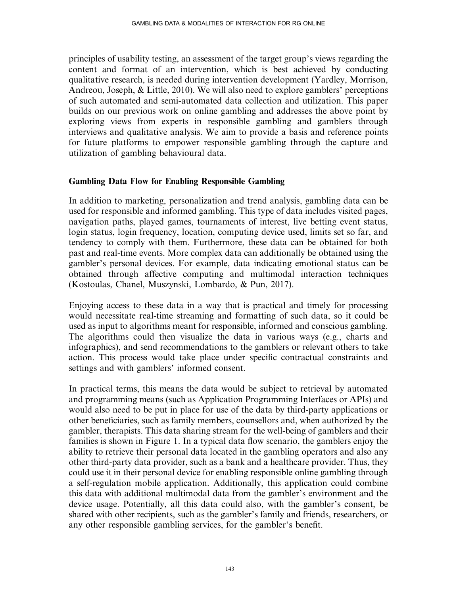principles of usability testing, an assessment of the target group's views regarding the content and format of an intervention, which is best achieved by conducting qualitative research, is needed during intervention development (Yardley, Morrison, Andreou, Joseph, & Little, 2010). We will also need to explore gamblers' perceptions of such automated and semi-automated data collection and utilization. This paper builds on our previous work on online gambling and addresses the above point by exploring views from experts in responsible gambling and gamblers through interviews and qualitative analysis. We aim to provide a basis and reference points for future platforms to empower responsible gambling through the capture and utilization of gambling behavioural data.

#### Gambling Data Flow for Enabling Responsible Gambling

In addition to marketing, personalization and trend analysis, gambling data can be used for responsible and informed gambling. This type of data includes visited pages, navigation paths, played games, tournaments of interest, live betting event status, login status, login frequency, location, computing device used, limits set so far, and tendency to comply with them. Furthermore, these data can be obtained for both past and real-time events. More complex data can additionally be obtained using the gambler's personal devices. For example, data indicating emotional status can be obtained through affective computing and multimodal interaction techniques (Kostoulas, Chanel, Muszynski, Lombardo, & Pun, 2017).

Enjoying access to these data in a way that is practical and timely for processing would necessitate real-time streaming and formatting of such data, so it could be used as input to algorithms meant for responsible, informed and conscious gambling. The algorithms could then visualize the data in various ways (e.g., charts and infographics), and send recommendations to the gamblers or relevant others to take action. This process would take place under specific contractual constraints and settings and with gamblers' informed consent.

In practical terms, this means the data would be subject to retrieval by automated and programming means (such as Application Programming Interfaces or APIs) and would also need to be put in place for use of the data by third-party applications or other beneficiaries, such as family members, counsellors and, when authorized by the gambler, therapists. This data sharing stream for the well-being of gamblers and their families is shown in Figure 1. In a typical data flow scenario, the gamblers enjoy the ability to retrieve their personal data located in the gambling operators and also any other third-party data provider, such as a bank and a healthcare provider. Thus, they could use it in their personal device for enabling responsible online gambling through a self-regulation mobile application. Additionally, this application could combine this data with additional multimodal data from the gambler's environment and the device usage. Potentially, all this data could also, with the gambler's consent, be shared with other recipients, such as the gambler's family and friends, researchers, or any other responsible gambling services, for the gambler's benefit.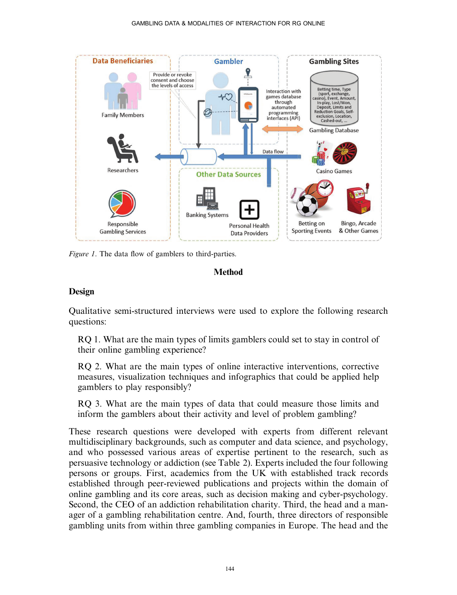

Figure 1. The data flow of gamblers to third-parties.



## Design

Qualitative semi-structured interviews were used to explore the following research questions:

RQ 1. What are the main types of limits gamblers could set to stay in control of their online gambling experience?

RQ 2. What are the main types of online interactive interventions, corrective measures, visualization techniques and infographics that could be applied help gamblers to play responsibly?

RQ 3. What are the main types of data that could measure those limits and inform the gamblers about their activity and level of problem gambling?

These research questions were developed with experts from different relevant multidisciplinary backgrounds, such as computer and data science, and psychology, and who possessed various areas of expertise pertinent to the research, such as persuasive technology or addiction (see Table 2). Experts included the four following persons or groups. First, academics from the UK with established track records established through peer-reviewed publications and projects within the domain of online gambling and its core areas, such as decision making and cyber-psychology. Second, the CEO of an addiction rehabilitation charity. Third, the head and a manager of a gambling rehabilitation centre. And, fourth, three directors of responsible gambling units from within three gambling companies in Europe. The head and the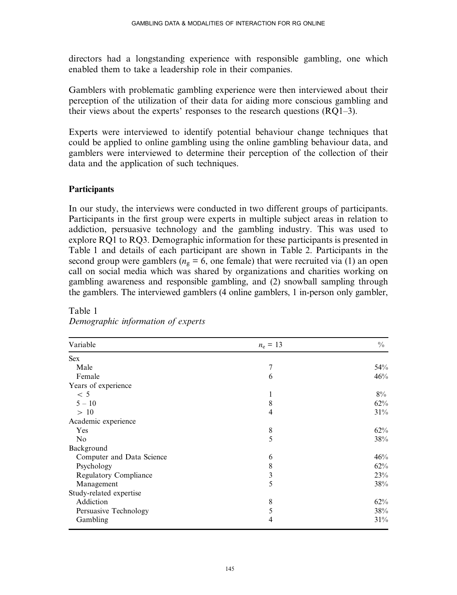directors had a longstanding experience with responsible gambling, one which enabled them to take a leadership role in their companies.

Gamblers with problematic gambling experience were then interviewed about their perception of the utilization of their data for aiding more conscious gambling and their views about the experts' responses to the research questions (RQ1–3).

Experts were interviewed to identify potential behaviour change techniques that could be applied to online gambling using the online gambling behaviour data, and gamblers were interviewed to determine their perception of the collection of their data and the application of such techniques.

#### **Participants**

In our study, the interviews were conducted in two different groups of participants. Participants in the first group were experts in multiple subject areas in relation to addiction, persuasive technology and the gambling industry. This was used to explore RQ1 to RQ3. Demographic information for these participants is presented in Table 1 and details of each participant are shown in Table 2. Participants in the second group were gamblers ( $n<sub>o</sub> = 6$ , one female) that were recruited via (1) an open call on social media which was shared by organizations and charities working on gambling awareness and responsible gambling, and (2) snowball sampling through the gamblers. The interviewed gamblers (4 online gamblers, 1 in-person only gambler,

| Variable                     | $n_e = 13$ | $\frac{0}{0}$ |
|------------------------------|------------|---------------|
| <b>Sex</b>                   |            |               |
| Male                         | 7          | 54%           |
| Female                       | 6          | 46%           |
| Years of experience          |            |               |
| < 5                          | 1          | $8\%$         |
| $5 - 10$                     | 8          | 62%           |
| >10                          | 4          | 31%           |
| Academic experience          |            |               |
| Yes                          | 8          | 62%           |
| N <sub>o</sub>               | 5          | 38%           |
| Background                   |            |               |
| Computer and Data Science    | 6          | 46%           |
| Psychology                   | 8          | 62%           |
| <b>Regulatory Compliance</b> | 3          | 23%           |
| Management                   | 5          | 38%           |
| Study-related expertise      |            |               |
| Addiction                    | 8          | 62%           |
| Persuasive Technology        | 5          | 38%           |
| Gambling                     | 4          | 31%           |

# Table 1  $\mathcal{S}$  of expertise in  $\mathcal{S}$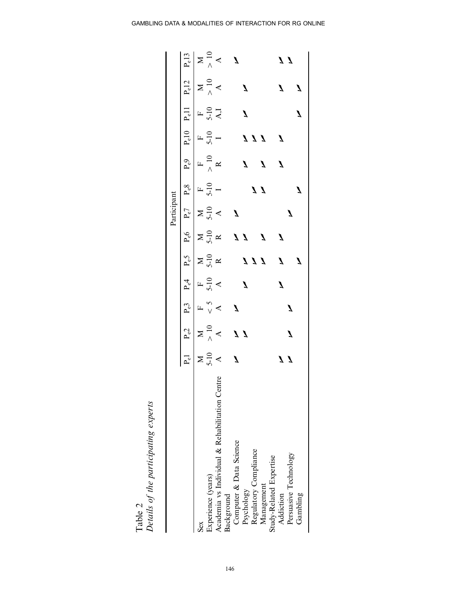|         | f the participating experts |
|---------|-----------------------------|
|         |                             |
|         | s ot                        |
| Table 2 | Details                     |

| Sex                                            |              |   |  |              |              |                 |                  |                  |                         |   |                |
|------------------------------------------------|--------------|---|--|--------------|--------------|-----------------|------------------|------------------|-------------------------|---|----------------|
| Experience (years)                             |              |   |  |              |              |                 |                  |                  |                         |   |                |
| Academia vs Individual & Rehabilitation Centre |              |   |  |              |              |                 |                  |                  |                         |   |                |
| Background                                     |              |   |  |              |              |                 |                  |                  |                         |   |                |
| Computer & Data Science                        |              |   |  |              |              |                 |                  |                  |                         |   |                |
| Psychology                                     |              |   |  | 111          |              | $\overline{11}$ |                  | $\overline{111}$ |                         |   |                |
| Regulatory Compliance                          |              |   |  |              | $\mathbf{z}$ |                 |                  |                  |                         |   |                |
| Management                                     |              |   |  |              |              |                 | $\boldsymbol{I}$ |                  |                         |   |                |
| Study-Related Expertise                        |              |   |  |              |              |                 |                  |                  |                         |   |                |
| Addiction                                      |              |   |  | $\mathbf{z}$ |              |                 |                  |                  |                         | Z |                |
| Persuasive Technology                          | $\mathbf{Z}$ | Ź |  |              |              |                 |                  |                  |                         |   | $\overline{1}$ |
| Gambling                                       |              |   |  |              |              |                 |                  |                  | $\overline{\mathbf{A}}$ |   |                |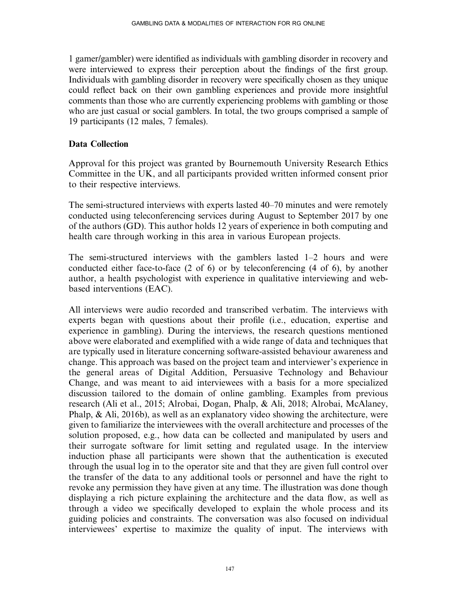1 gamer/gambler) were identified as individuals with gambling disorder in recovery and were interviewed to express their perception about the findings of the first group. Individuals with gambling disorder in recovery were specifically chosen as they unique could reflect back on their own gambling experiences and provide more insightful comments than those who are currently experiencing problems with gambling or those who are just casual or social gamblers. In total, the two groups comprised a sample of 19 participants (12 males, 7 females).

#### Data Collection

Approval for this project was granted by Bournemouth University Research Ethics Committee in the UK, and all participants provided written informed consent prior to their respective interviews.

The semi-structured interviews with experts lasted 40–70 minutes and were remotely conducted using teleconferencing services during August to September 2017 by one of the authors (GD). This author holds 12 years of experience in both computing and health care through working in this area in various European projects.

The semi-structured interviews with the gamblers lasted 1–2 hours and were conducted either face-to-face (2 of 6) or by teleconferencing (4 of 6), by another author, a health psychologist with experience in qualitative interviewing and webbased interventions (EAC).

All interviews were audio recorded and transcribed verbatim. The interviews with experts began with questions about their profile (i.e., education, expertise and experience in gambling). During the interviews, the research questions mentioned above were elaborated and exemplified with a wide range of data and techniques that are typically used in literature concerning software-assisted behaviour awareness and change. This approach was based on the project team and interviewer's experience in the general areas of Digital Addition, Persuasive Technology and Behaviour Change, and was meant to aid interviewees with a basis for a more specialized discussion tailored to the domain of online gambling. Examples from previous research (Ali et al., 2015; Alrobai, Dogan, Phalp, & Ali, 2018; Alrobai, McAlaney, Phalp,  $\&$  Ali, 2016b), as well as an explanatory video showing the architecture, were given to familiarize the interviewees with the overall architecture and processes of the solution proposed, e.g., how data can be collected and manipulated by users and their surrogate software for limit setting and regulated usage. In the interview induction phase all participants were shown that the authentication is executed through the usual log in to the operator site and that they are given full control over the transfer of the data to any additional tools or personnel and have the right to revoke any permission they have given at any time. The illustration was done though displaying a rich picture explaining the architecture and the data flow, as well as through a video we specifically developed to explain the whole process and its guiding policies and constraints. The conversation was also focused on individual interviewees' expertise to maximize the quality of input. The interviews with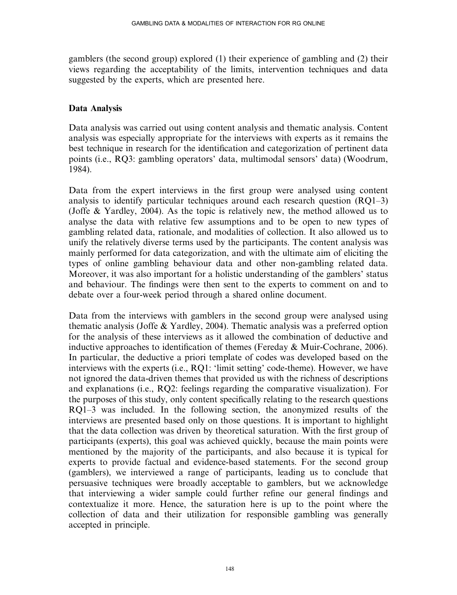gamblers (the second group) explored (1) their experience of gambling and (2) their views regarding the acceptability of the limits, intervention techniques and data suggested by the experts, which are presented here.

#### Data Analysis

Data analysis was carried out using content analysis and thematic analysis. Content analysis was especially appropriate for the interviews with experts as it remains the best technique in research for the identification and categorization of pertinent data points (i.e., RQ3: gambling operators' data, multimodal sensors' data) (Woodrum, 1984).

Data from the expert interviews in the first group were analysed using content analysis to identify particular techniques around each research question (RQ1–3) (Joffe & Yardley, 2004). As the topic is relatively new, the method allowed us to analyse the data with relative few assumptions and to be open to new types of gambling related data, rationale, and modalities of collection. It also allowed us to unify the relatively diverse terms used by the participants. The content analysis was mainly performed for data categorization, and with the ultimate aim of eliciting the types of online gambling behaviour data and other non-gambling related data. Moreover, it was also important for a holistic understanding of the gamblers' status and behaviour. The findings were then sent to the experts to comment on and to debate over a four-week period through a shared online document.

Data from the interviews with gamblers in the second group were analysed using thematic analysis (Joffe & Yardley, 2004). Thematic analysis was a preferred option for the analysis of these interviews as it allowed the combination of deductive and inductive approaches to identification of themes (Fereday & Muir-Cochrane, 2006). In particular, the deductive a priori template of codes was developed based on the interviews with the experts (i.e., RQ1: 'limit setting' code-theme). However, we have not ignored the data-driven themes that provided us with the richness of descriptions and explanations (i.e., RQ2: feelings regarding the comparative visualization). For the purposes of this study, only content specifically relating to the research questions RQ1–3 was included. In the following section, the anonymized results of the interviews are presented based only on those questions. It is important to highlight that the data collection was driven by theoretical saturation. With the first group of participants (experts), this goal was achieved quickly, because the main points were mentioned by the majority of the participants, and also because it is typical for experts to provide factual and evidence-based statements. For the second group (gamblers), we interviewed a range of participants, leading us to conclude that persuasive techniques were broadly acceptable to gamblers, but we acknowledge that interviewing a wider sample could further refine our general findings and contextualize it more. Hence, the saturation here is up to the point where the collection of data and their utilization for responsible gambling was generally accepted in principle.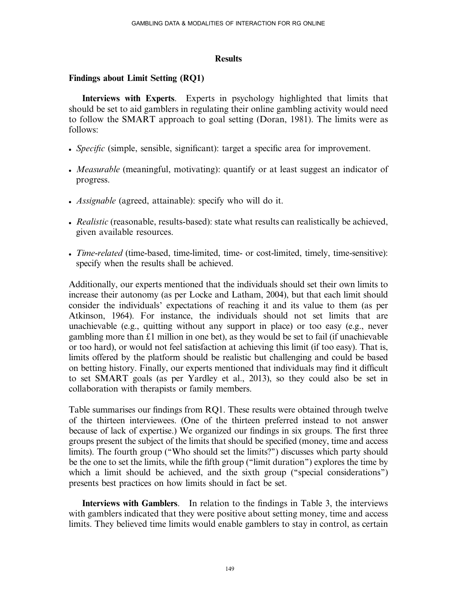#### **Results**

#### Findings about Limit Setting (RQ1)

Interviews with Experts. Experts in psychology highlighted that limits that should be set to aid gamblers in regulating their online gambling activity would need to follow the SMART approach to goal setting (Doran, 1981). The limits were as follows:

- Specific (simple, sensible, significant): target a specific area for improvement.
- *Measurable* (meaningful, motivating): quantify or at least suggest an indicator of progress.
- Assignable (agreed, attainable): specify who will do it.
- Realistic (reasonable, results-based): state what results can realistically be achieved, given available resources.
- Time-related (time-based, time-limited, time- or cost-limited, timely, time-sensitive): specify when the results shall be achieved.

Additionally, our experts mentioned that the individuals should set their own limits to increase their autonomy (as per Locke and Latham, 2004), but that each limit should consider the individuals' expectations of reaching it and its value to them (as per Atkinson, 1964). For instance, the individuals should not set limits that are unachievable (e.g., quitting without any support in place) or too easy (e.g., never gambling more than  $\pounds 1$  million in one bet), as they would be set to fail (if unachievable or too hard), or would not feel satisfaction at achieving this limit (if too easy). That is, limits offered by the platform should be realistic but challenging and could be based on betting history. Finally, our experts mentioned that individuals may find it difficult to set SMART goals (as per Yardley et al., 2013), so they could also be set in collaboration with therapists or family members.

Table summarises our findings from RQ1. These results were obtained through twelve of the thirteen interviewees. (One of the thirteen preferred instead to not answer because of lack of expertise.) We organized our findings in six groups. The first three groups present the subject of the limits that should be specified (money, time and access limits). The fourth group (''Who should set the limits?'') discusses which party should be the one to set the limits, while the fifth group (''limit duration'') explores the time by which a limit should be achieved, and the sixth group ("special considerations") presents best practices on how limits should in fact be set.

Interviews with Gamblers. In relation to the findings in Table 3, the interviews with gamblers indicated that they were positive about setting money, time and access limits. They believed time limits would enable gamblers to stay in control, as certain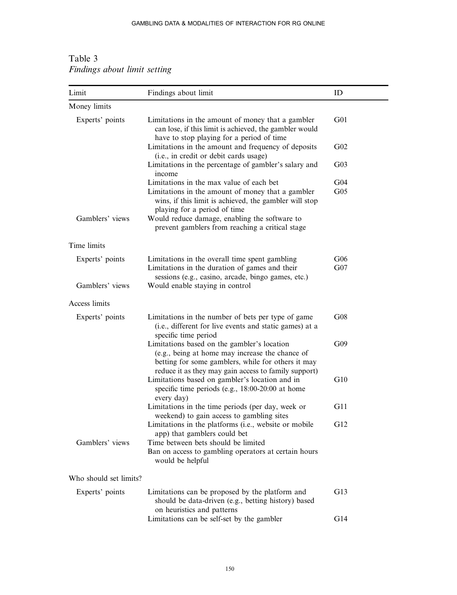| Limit                  | Findings about limit                                                                                                                                                                                         | ID                                 |
|------------------------|--------------------------------------------------------------------------------------------------------------------------------------------------------------------------------------------------------------|------------------------------------|
| Money limits           |                                                                                                                                                                                                              |                                    |
| Experts' points        | Limitations in the amount of money that a gambler<br>can lose, if this limit is achieved, the gambler would<br>have to stop playing for a period of time                                                     | G <sub>01</sub>                    |
|                        | Limitations in the amount and frequency of deposits<br>(i.e., in credit or debit cards usage)                                                                                                                | G <sub>02</sub>                    |
|                        | Limitations in the percentage of gambler's salary and<br>income                                                                                                                                              | G <sub>03</sub>                    |
|                        | Limitations in the max value of each bet<br>Limitations in the amount of money that a gambler<br>wins, if this limit is achieved, the gambler will stop<br>playing for a period of time                      | G <sub>04</sub><br>G <sub>05</sub> |
| Gamblers' views        | Would reduce damage, enabling the software to<br>prevent gamblers from reaching a critical stage                                                                                                             |                                    |
| Time limits            |                                                                                                                                                                                                              |                                    |
| Experts' points        | Limitations in the overall time spent gambling<br>Limitations in the duration of games and their<br>sessions (e.g., casino, arcade, bingo games, etc.)                                                       | G06<br>G07                         |
| Gamblers' views        | Would enable staying in control                                                                                                                                                                              |                                    |
| Access limits          |                                                                                                                                                                                                              |                                    |
| Experts' points        | Limitations in the number of bets per type of game<br>(i.e., different for live events and static games) at a<br>specific time period                                                                        | G08                                |
|                        | Limitations based on the gambler's location<br>(e.g., being at home may increase the chance of<br>betting for some gamblers, while for others it may<br>reduce it as they may gain access to family support) | G09                                |
|                        | Limitations based on gambler's location and in<br>specific time periods (e.g., 18:00-20:00 at home<br>every day)                                                                                             | G10                                |
|                        | Limitations in the time periods (per day, week or<br>weekend) to gain access to gambling sites                                                                                                               | G11                                |
|                        | Limitations in the platforms (i.e., website or mobile<br>app) that gamblers could bet                                                                                                                        | G12                                |
| Gamblers' views        | Time between bets should be limited<br>Ban on access to gambling operators at certain hours<br>would be helpful                                                                                              |                                    |
| Who should set limits? |                                                                                                                                                                                                              |                                    |
| Experts' points        | Limitations can be proposed by the platform and<br>should be data-driven (e.g., betting history) based<br>on heuristics and patterns                                                                         | G13                                |
|                        | Limitations can be self-set by the gambler                                                                                                                                                                   | G14                                |

Table 3 Findings about limit setting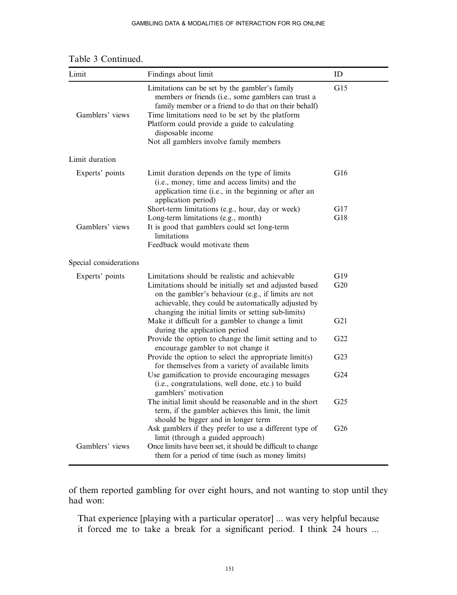| Limit                  | Findings about limit                                                                                                                                                                                                                                                                                                               | ID              |
|------------------------|------------------------------------------------------------------------------------------------------------------------------------------------------------------------------------------------------------------------------------------------------------------------------------------------------------------------------------|-----------------|
| Gamblers' views        | Limitations can be set by the gambler's family<br>members or friends (i.e., some gamblers can trust a<br>family member or a friend to do that on their behalf)<br>Time limitations need to be set by the platform<br>Platform could provide a guide to calculating<br>disposable income<br>Not all gamblers involve family members | G15             |
| Limit duration         |                                                                                                                                                                                                                                                                                                                                    |                 |
| Experts' points        | Limit duration depends on the type of limits<br>(i.e., money, time and access limits) and the<br>application time (i.e., in the beginning or after an<br>application period)                                                                                                                                                       | G16             |
|                        | Short-term limitations (e.g., hour, day or week)                                                                                                                                                                                                                                                                                   | G17             |
| Gamblers' views        | Long-term limitations (e.g., month)<br>It is good that gamblers could set long-term<br>limitations<br>Feedback would motivate them                                                                                                                                                                                                 | G18             |
| Special considerations |                                                                                                                                                                                                                                                                                                                                    |                 |
| Experts' points        | Limitations should be realistic and achievable<br>Limitations should be initially set and adjusted based<br>on the gambler's behaviour (e.g., if limits are not<br>achievable, they could be automatically adjusted by<br>changing the initial limits or setting sub-limits)                                                       | G19<br>G20      |
|                        | Make it difficult for a gambler to change a limit<br>during the application period                                                                                                                                                                                                                                                 | G21             |
|                        | Provide the option to change the limit setting and to<br>encourage gambler to not change it                                                                                                                                                                                                                                        | G22             |
|                        | Provide the option to select the appropriate limit(s)<br>for themselves from a variety of available limits                                                                                                                                                                                                                         | G <sub>23</sub> |
|                        | Use gamification to provide encouraging messages<br>(i.e., congratulations, well done, etc.) to build<br>gamblers' motivation                                                                                                                                                                                                      | G <sub>24</sub> |
|                        | The initial limit should be reasonable and in the short<br>term, if the gambler achieves this limit, the limit<br>should be bigger and in longer term                                                                                                                                                                              | G <sub>25</sub> |
| Gamblers' views        | Ask gamblers if they prefer to use a different type of<br>limit (through a guided approach)<br>Once limits have been set, it should be difficult to change<br>them for a period of time (such as money limits)                                                                                                                     | G <sub>26</sub> |

Table 3 Continued.

of them reported gambling for over eight hours, and not wanting to stop until they had won:

That experience [playing with a particular operator] ... was very helpful because it forced me to take a break for a significant period. I think 24 hours ...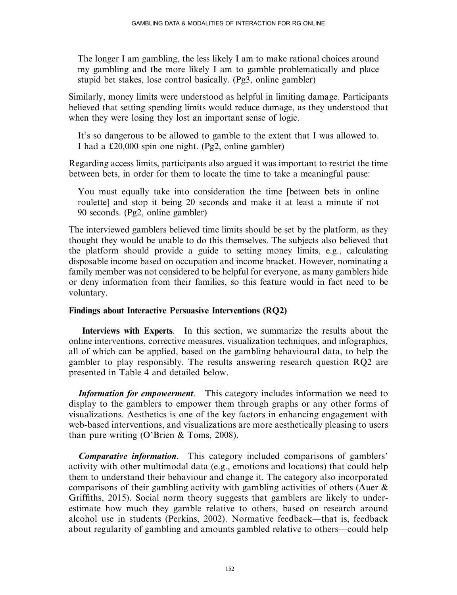The longer I am gambling, the less likely I am to make rational choices around my gambling and the more likely I am to gamble problematically and place stupid bet stakes, lose control basically. (Pg3, online gambler)

Similarly, money limits were understood as helpful in limiting damage. Participants believed that setting spending limits would reduce damage, as they understood that when they were losing they lost an important sense of logic.

It's so dangerous to be allowed to gamble to the extent that I was allowed to. I had a  $\text{\pounds}20,000$  spin one night. (Pg2, online gambler)

Regarding access limits, participants also argued it was important to restrict the time between bets, in order for them to locate the time to take a meaningful pause:

You must equally take into consideration the time [between bets in online roulette] and stop it being 20 seconds and make it at least a minute if not 90 seconds. (Pg2, online gambler)

The interviewed gamblers believed time limits should be set by the platform, as they thought they would be unable to do this themselves. The subjects also believed that the platform should provide a guide to setting money limits, e.g., calculating disposable income based on occupation and income bracket. However, nominating a family member was not considered to be helpful for everyone, as many gamblers hide or deny information from their families, so this feature would in fact need to be voluntary.

## Findings about Interactive Persuasive Interventions (RQ2)

Interviews with Experts. In this section, we summarize the results about the online interventions, corrective measures, visualization techniques, and infographics, all of which can be applied, based on the gambling behavioural data, to help the gambler to play responsibly. The results answering research question RQ2 are presented in Table 4 and detailed below.

Information for empowerment. This category includes information we need to display to the gamblers to empower them through graphs or any other forms of visualizations. Aesthetics is one of the key factors in enhancing engagement with web-based interventions, and visualizations are more aesthetically pleasing to users than pure writing (O'Brien & Toms, 2008).

Comparative information. This category included comparisons of gamblers' activity with other multimodal data (e.g., emotions and locations) that could help them to understand their behaviour and change it. The category also incorporated comparisons of their gambling activity with gambling activities of others (Auer & Griffiths, 2015). Social norm theory suggests that gamblers are likely to underestimate how much they gamble relative to others, based on research around alcohol use in students (Perkins, 2002). Normative feedback—that is, feedback about regularity of gambling and amounts gambled relative to others—could help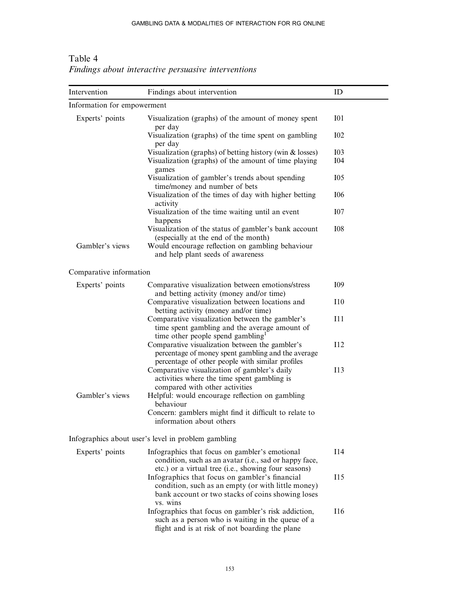| Intervention                | Findings about intervention                                                                                                                                                                                                   | ID                       |
|-----------------------------|-------------------------------------------------------------------------------------------------------------------------------------------------------------------------------------------------------------------------------|--------------------------|
| Information for empowerment |                                                                                                                                                                                                                               |                          |
| Experts' points             | Visualization (graphs) of the amount of money spent<br>per day                                                                                                                                                                | I <sub>01</sub>          |
|                             | Visualization (graphs) of the time spent on gambling<br>per day                                                                                                                                                               | <b>I02</b>               |
|                             | Visualization (graphs) of betting history (win $\&$ losses)<br>Visualization (graphs) of the amount of time playing                                                                                                           | <b>I03</b><br><b>I04</b> |
|                             | games<br>Visualization of gambler's trends about spending<br>time/money and number of bets                                                                                                                                    | I05                      |
|                             | Visualization of the times of day with higher betting<br>activity                                                                                                                                                             | <b>I06</b>               |
|                             | Visualization of the time waiting until an event<br>happens                                                                                                                                                                   | <b>I07</b>               |
| Gambler's views             | Visualization of the status of gambler's bank account<br>(especially at the end of the month)<br>Would encourage reflection on gambling behaviour<br>and help plant seeds of awareness                                        | <b>I08</b>               |
| Comparative information     |                                                                                                                                                                                                                               |                          |
| Experts' points             | Comparative visualization between emotions/stress<br>and betting activity (money and/or time)                                                                                                                                 | I09                      |
|                             | Comparative visualization between locations and<br>betting activity (money and/or time)                                                                                                                                       | I10                      |
|                             | Comparative visualization between the gambler's<br>time spent gambling and the average amount of<br>time other people spend gambling <sup>1</sup>                                                                             | I11                      |
|                             | Comparative visualization between the gambler's<br>percentage of money spent gambling and the average<br>percentage of other people with similar profiles                                                                     | I12                      |
|                             | Comparative visualization of gambler's daily<br>activities where the time spent gambling is                                                                                                                                   | I13                      |
| Gambler's views             | compared with other activities<br>Helpful: would encourage reflection on gambling<br>behaviour                                                                                                                                |                          |
|                             | Concern: gamblers might find it difficult to relate to<br>information about others                                                                                                                                            |                          |
|                             | Infographics about user's level in problem gambling                                                                                                                                                                           |                          |
| Experts' points             | Infographics that focus on gambler's emotional<br>condition, such as an avatar (i.e., sad or happy face,                                                                                                                      | I14                      |
|                             | etc.) or a virtual tree (i.e., showing four seasons)<br>Infographics that focus on gambler's financial<br>condition, such as an empty (or with little money)<br>bank account or two stacks of coins showing loses<br>vs. wins | I15                      |
|                             | Infographics that focus on gambler's risk addiction,<br>such as a person who is waiting in the queue of a<br>flight and is at risk of not boarding the plane                                                                  | <b>I16</b>               |

Table 4 Findings about interactive persuasive interventions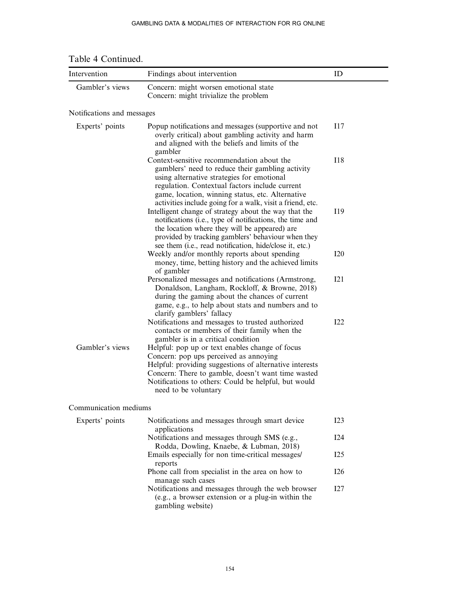| Intervention               | Findings about intervention                                                                                                                                                                                                                                                                                     | ID  |
|----------------------------|-----------------------------------------------------------------------------------------------------------------------------------------------------------------------------------------------------------------------------------------------------------------------------------------------------------------|-----|
| Gambler's views            | Concern: might worsen emotional state<br>Concern: might trivialize the problem                                                                                                                                                                                                                                  |     |
| Notifications and messages |                                                                                                                                                                                                                                                                                                                 |     |
| Experts' points            | Popup notifications and messages (supportive and not<br>overly critical) about gambling activity and harm<br>and aligned with the beliefs and limits of the<br>gambler                                                                                                                                          | 117 |
|                            | Context-sensitive recommendation about the<br>gamblers' need to reduce their gambling activity<br>using alternative strategies for emotional<br>regulation. Contextual factors include current<br>game, location, winning status, etc. Alternative<br>activities include going for a walk, visit a friend, etc. | 118 |
|                            | Intelligent change of strategy about the way that the<br>notifications (i.e., type of notifications, the time and<br>the location where they will be appeared) are<br>provided by tracking gamblers' behaviour when they<br>see them (i.e., read notification, hide/close it, etc.)                             | I19 |
|                            | Weekly and/or monthly reports about spending<br>money, time, betting history and the achieved limits<br>of gambler                                                                                                                                                                                              | I20 |
|                            | Personalized messages and notifications (Armstrong,<br>Donaldson, Langham, Rockloff, & Browne, 2018)<br>during the gaming about the chances of current<br>game, e.g., to help about stats and numbers and to<br>clarify gamblers' fallacy                                                                       | 121 |
|                            | Notifications and messages to trusted authorized<br>contacts or members of their family when the<br>gambler is in a critical condition                                                                                                                                                                          | 122 |
| Gambler's views            | Helpful: pop up or text enables change of focus<br>Concern: pop ups perceived as annoying<br>Helpful: providing suggestions of alternative interests<br>Concern: There to gamble, doesn't want time wasted<br>Notifications to others: Could be helpful, but would<br>need to be voluntary                      |     |
| Communication mediums      |                                                                                                                                                                                                                                                                                                                 |     |
| Experts' points            | Notifications and messages through smart device<br>applications                                                                                                                                                                                                                                                 | 123 |
|                            | Notifications and messages through SMS (e.g.,<br>Rodda, Dowling, Knaebe, & Lubman, 2018)                                                                                                                                                                                                                        | 124 |

Table 4 Continued.

Emails especially for non time-critical messages/

Phone call from specialist in the area on how to

Notifications and messages through the web browser (e.g., a browser extension or a plug-in within the

I25

I26

I27

reports

manage such cases

gambling website)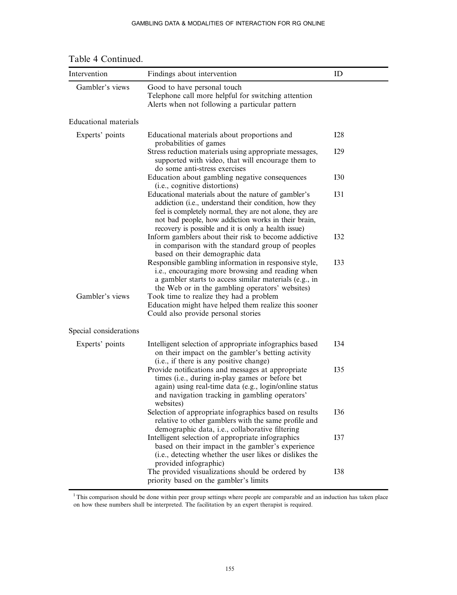| Intervention           | Findings about intervention                                                                                                                                                                                                                                                                                            | ID              |
|------------------------|------------------------------------------------------------------------------------------------------------------------------------------------------------------------------------------------------------------------------------------------------------------------------------------------------------------------|-----------------|
| Gambler's views        | Good to have personal touch<br>Telephone call more helpful for switching attention<br>Alerts when not following a particular pattern                                                                                                                                                                                   |                 |
| Educational materials  |                                                                                                                                                                                                                                                                                                                        |                 |
| Experts' points        | Educational materials about proportions and                                                                                                                                                                                                                                                                            | <b>I28</b>      |
|                        | probabilities of games<br>Stress reduction materials using appropriate messages,<br>supported with video, that will encourage them to<br>do some anti-stress exercises                                                                                                                                                 | I <sub>29</sub> |
|                        | Education about gambling negative consequences                                                                                                                                                                                                                                                                         | <b>I30</b>      |
|                        | (i.e., cognitive distortions)<br>Educational materials about the nature of gambler's<br>addiction (i.e., understand their condition, how they<br>feel is completely normal, they are not alone, they are<br>not bad people, how addiction works in their brain,<br>recovery is possible and it is only a health issue) | <b>I31</b>      |
|                        | Inform gamblers about their risk to become addictive<br>in comparison with the standard group of peoples<br>based on their demographic data                                                                                                                                                                            | <b>I32</b>      |
|                        | Responsible gambling information in responsive style,<br>i.e., encouraging more browsing and reading when<br>a gambler starts to access similar materials (e.g., in<br>the Web or in the gambling operators' websites)                                                                                                 | <b>I33</b>      |
| Gambler's views        | Took time to realize they had a problem<br>Education might have helped them realize this sooner<br>Could also provide personal stories                                                                                                                                                                                 |                 |
| Special considerations |                                                                                                                                                                                                                                                                                                                        |                 |
| Experts' points        | Intelligent selection of appropriate infographics based<br>on their impact on the gambler's betting activity<br>(i.e., if there is any positive change)                                                                                                                                                                | I34             |
|                        | Provide notifications and messages at appropriate<br>times (i.e., during in-play games or before bet<br>again) using real-time data (e.g., login/online status<br>and navigation tracking in gambling operators'<br>websites)                                                                                          | <b>I35</b>      |
|                        | Selection of appropriate infographics based on results<br>relative to other gamblers with the same profile and<br>demographic data, i.e., collaborative filtering                                                                                                                                                      | <b>I36</b>      |
|                        | Intelligent selection of appropriate infographics<br>based on their impact in the gambler's experience<br>(i.e., detecting whether the user likes or dislikes the<br>provided infographic)                                                                                                                             | <b>I37</b>      |
|                        | The provided visualizations should be ordered by<br>priority based on the gambler's limits                                                                                                                                                                                                                             | <b>I38</b>      |

Table 4 Continued.

<sup>1</sup>This comparison should be done within peer group settings where people are comparable and an induction has taken place on how these numbers shall be interpreted. The facilitation by an expert therapist is required.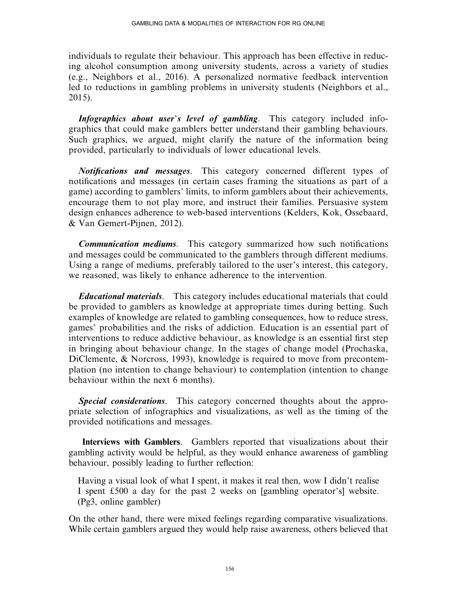individuals to regulate their behaviour. This approach has been effective in reducing alcohol consumption among university students, across a variety of studies (e.g., Neighbors et al., 2016). A personalized normative feedback intervention led to reductions in gambling problems in university students (Neighbors et al., 2015).

Infographics about user's level of gambling. This category included infographics that could make gamblers better understand their gambling behaviours. Such graphics, we argued, might clarify the nature of the information being provided, particularly to individuals of lower educational levels.

Notifications and messages. This category concerned different types of notifications and messages (in certain cases framing the situations as part of a game) according to gamblers' limits, to inform gamblers about their achievements, encourage them to not play more, and instruct their families. Persuasive system design enhances adherence to web-based interventions (Kelders, Kok, Ossebaard, & Van Gemert-Pijnen, 2012).

**Communication mediums.** This category summarized how such notifications and messages could be communicated to the gamblers through different mediums. Using a range of mediums, preferably tailored to the user's interest, this category, we reasoned, was likely to enhance adherence to the intervention.

Educational materials. This category includes educational materials that could be provided to gamblers as knowledge at appropriate times during betting. Such examples of knowledge are related to gambling consequences, how to reduce stress, games' probabilities and the risks of addiction. Education is an essential part of interventions to reduce addictive behaviour, as knowledge is an essential first step in bringing about behaviour change. In the stages of change model (Prochaska, DiClemente, & Norcross, 1993), knowledge is required to move from precontemplation (no intention to change behaviour) to contemplation (intention to change behaviour within the next 6 months).

Special considerations. This category concerned thoughts about the appropriate selection of infographics and visualizations, as well as the timing of the provided notifications and messages.

Interviews with Gamblers. Gamblers reported that visualizations about their gambling activity would be helpful, as they would enhance awareness of gambling behaviour, possibly leading to further reflection:

Having a visual look of what I spent, it makes it real then, wow I didn't realise I spent  $£500$  a day for the past 2 weeks on [gambling operator's] website. (Pg3, online gambler)

On the other hand, there were mixed feelings regarding comparative visualizations. While certain gamblers argued they would help raise awareness, others believed that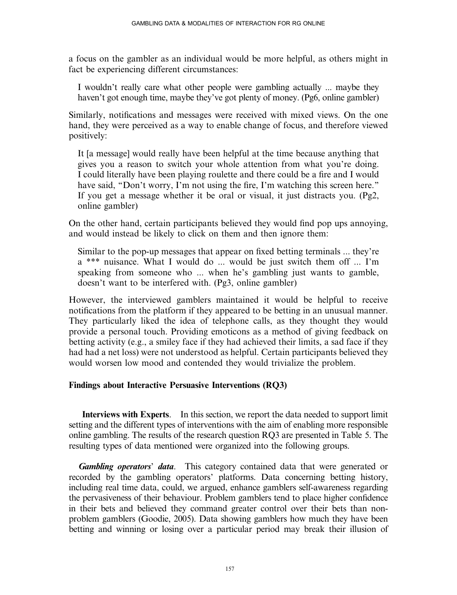a focus on the gambler as an individual would be more helpful, as others might in fact be experiencing different circumstances:

I wouldn't really care what other people were gambling actually ... maybe they haven't got enough time, maybe they've got plenty of money. (Pg6, online gambler)

Similarly, notifications and messages were received with mixed views. On the one hand, they were perceived as a way to enable change of focus, and therefore viewed positively:

It [a message] would really have been helpful at the time because anything that gives you a reason to switch your whole attention from what you're doing. I could literally have been playing roulette and there could be a fire and I would have said, "Don't worry, I'm not using the fire, I'm watching this screen here." If you get a message whether it be oral or visual, it just distracts you. (Pg2, online gambler)

On the other hand, certain participants believed they would find pop ups annoying, and would instead be likely to click on them and then ignore them:

Similar to the pop-up messages that appear on fixed betting terminals ... they're a \*\*\* nuisance. What I would do ... would be just switch them off ... I'm speaking from someone who ... when he's gambling just wants to gamble, doesn't want to be interfered with. (Pg3, online gambler)

However, the interviewed gamblers maintained it would be helpful to receive notifications from the platform if they appeared to be betting in an unusual manner. They particularly liked the idea of telephone calls, as they thought they would provide a personal touch. Providing emoticons as a method of giving feedback on betting activity (e.g., a smiley face if they had achieved their limits, a sad face if they had had a net loss) were not understood as helpful. Certain participants believed they would worsen low mood and contended they would trivialize the problem.

## Findings about Interactive Persuasive Interventions (RQ3)

Interviews with Experts. In this section, we report the data needed to support limit setting and the different types of interventions with the aim of enabling more responsible online gambling. The results of the research question RQ3 are presented in Table 5. The resulting types of data mentioned were organized into the following groups.

**Gambling operators' data.** This category contained data that were generated or recorded by the gambling operators' platforms. Data concerning betting history, including real time data, could, we argued, enhance gamblers self-awareness regarding the pervasiveness of their behaviour. Problem gamblers tend to place higher confidence in their bets and believed they command greater control over their bets than nonproblem gamblers (Goodie, 2005). Data showing gamblers how much they have been betting and winning or losing over a particular period may break their illusion of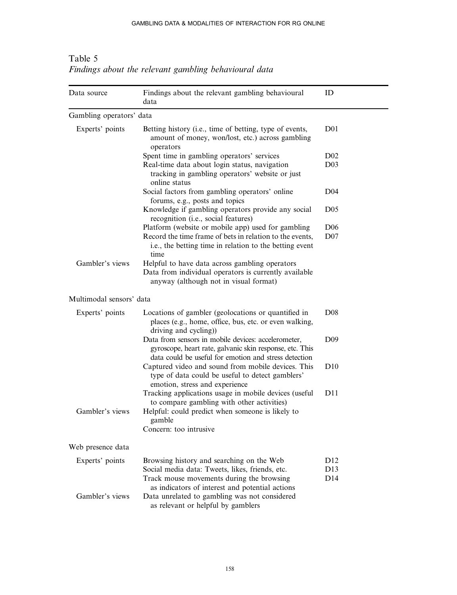| Data source              | Findings about the relevant gambling behavioural<br>data                                                                                                                          | ID                                 |
|--------------------------|-----------------------------------------------------------------------------------------------------------------------------------------------------------------------------------|------------------------------------|
| Gambling operators' data |                                                                                                                                                                                   |                                    |
| Experts' points          | Betting history (i.e., time of betting, type of events,<br>amount of money, won/lost, etc.) across gambling<br>operators                                                          | D <sub>01</sub>                    |
|                          | Spent time in gambling operators' services                                                                                                                                        | D <sub>02</sub>                    |
|                          | Real-time data about login status, navigation<br>tracking in gambling operators' website or just<br>online status                                                                 | D <sub>03</sub>                    |
|                          | Social factors from gambling operators' online<br>forums, e.g., posts and topics                                                                                                  | D <sub>04</sub>                    |
|                          | Knowledge if gambling operators provide any social<br>recognition (i.e., social features)                                                                                         | D <sub>05</sub>                    |
|                          | Platform (website or mobile app) used for gambling<br>Record the time frame of bets in relation to the events,<br>i.e., the betting time in relation to the betting event<br>time | D <sub>06</sub><br>D <sub>07</sub> |
| Gambler's views          | Helpful to have data across gambling operators<br>Data from individual operators is currently available<br>anyway (although not in visual format)                                 |                                    |
| Multimodal sensors' data |                                                                                                                                                                                   |                                    |
| Experts' points          | Locations of gambler (geolocations or quantified in<br>places (e.g., home, office, bus, etc. or even walking,<br>driving and cycling))                                            | D <sub>08</sub>                    |
|                          | Data from sensors in mobile devices: accelerometer,<br>gyroscope, heart rate, galvanic skin response, etc. This<br>data could be useful for emotion and stress detection          | D <sub>09</sub>                    |
|                          | Captured video and sound from mobile devices. This<br>type of data could be useful to detect gamblers'<br>emotion, stress and experience                                          | D10                                |
|                          | Tracking applications usage in mobile devices (useful<br>to compare gambling with other activities)                                                                               | D11                                |
| Gambler's views          | Helpful: could predict when someone is likely to<br>gamble<br>Concern: too intrusive                                                                                              |                                    |
|                          |                                                                                                                                                                                   |                                    |
| Web presence data        |                                                                                                                                                                                   |                                    |
| Experts' points          | Browsing history and searching on the Web                                                                                                                                         | D <sub>12</sub>                    |
|                          | Social media data: Tweets, likes, friends, etc.<br>Track mouse movements during the browsing<br>as indicators of interest and potential actions                                   | D13<br>D14                         |
| Gambler's views          | Data unrelated to gambling was not considered<br>as relevant or helpful by gamblers                                                                                               |                                    |

Table 5 Findings about the relevant gambling behavioural data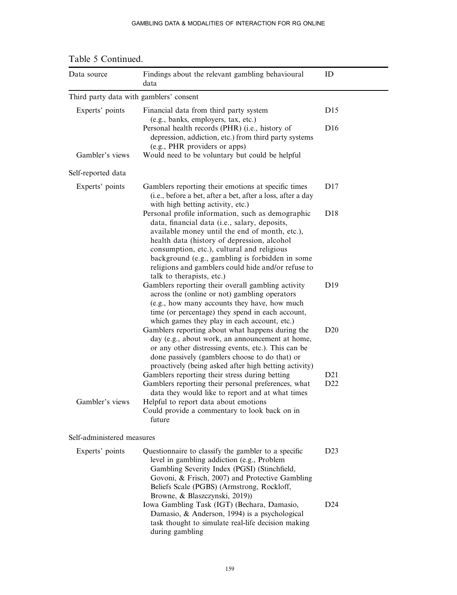#### GAMBLING DATA & MODALITIES OF INTERACTION FOR RG ONLINE

| Data source                             | Findings about the relevant gambling behavioural<br>data                                                                                                                                                                                                                                                                                                                                | ID              |
|-----------------------------------------|-----------------------------------------------------------------------------------------------------------------------------------------------------------------------------------------------------------------------------------------------------------------------------------------------------------------------------------------------------------------------------------------|-----------------|
| Third party data with gamblers' consent |                                                                                                                                                                                                                                                                                                                                                                                         |                 |
| Experts' points                         | Financial data from third party system<br>(e.g., banks, employers, tax, etc.)                                                                                                                                                                                                                                                                                                           | D15             |
|                                         | Personal health records (PHR) (i.e., history of<br>depression, addiction, etc.) from third party systems<br>(e.g., PHR providers or apps)                                                                                                                                                                                                                                               | D <sub>16</sub> |
| Gambler's views                         | Would need to be voluntary but could be helpful                                                                                                                                                                                                                                                                                                                                         |                 |
| Self-reported data                      |                                                                                                                                                                                                                                                                                                                                                                                         |                 |
| Experts' points                         | Gamblers reporting their emotions at specific times<br>(i.e., before a bet, after a bet, after a loss, after a day<br>with high betting activity, etc.)                                                                                                                                                                                                                                 | D17             |
|                                         | Personal profile information, such as demographic<br>data, financial data (i.e., salary, deposits,<br>available money until the end of month, etc.),<br>health data (history of depression, alcohol<br>consumption, etc.), cultural and religious<br>background (e.g., gambling is forbidden in some<br>religions and gamblers could hide and/or refuse to<br>talk to therapists, etc.) | D18             |
|                                         | Gamblers reporting their overall gambling activity<br>across the (online or not) gambling operators<br>(e.g., how many accounts they have, how much<br>time (or percentage) they spend in each account,<br>which games they play in each account, etc.)                                                                                                                                 | D <sub>19</sub> |
|                                         | Gamblers reporting about what happens during the<br>day (e.g., about work, an announcement at home,<br>or any other distressing events, etc.). This can be<br>done passively (gamblers choose to do that) or<br>proactively (being asked after high betting activity)                                                                                                                   | D20             |
|                                         | Gamblers reporting their stress during betting                                                                                                                                                                                                                                                                                                                                          | D21             |
| Gambler's views                         | Gamblers reporting their personal preferences, what<br>data they would like to report and at what times<br>Helpful to report data about emotions<br>Could provide a commentary to look back on in<br>future                                                                                                                                                                             | D <sub>22</sub> |
| Self-administered measures              |                                                                                                                                                                                                                                                                                                                                                                                         |                 |
| Experts' points                         | Questionnaire to classify the gambler to a specific<br>level in gambling addiction (e.g., Problem<br>Gambling Severity Index (PGSI) (Stinchfield,<br>Govoni, & Frisch, 2007) and Protective Gambling<br>Beliefs Scale (PGBS) (Armstrong, Rockloff,<br>Browne, & Blaszczynski, 2019))                                                                                                    | D23             |
|                                         | Iowa Gambling Task (IGT) (Bechara, Damasio,<br>Damasio, & Anderson, 1994) is a psychological<br>task thought to simulate real-life decision making<br>during gambling                                                                                                                                                                                                                   | D24             |

Table 5 Continued.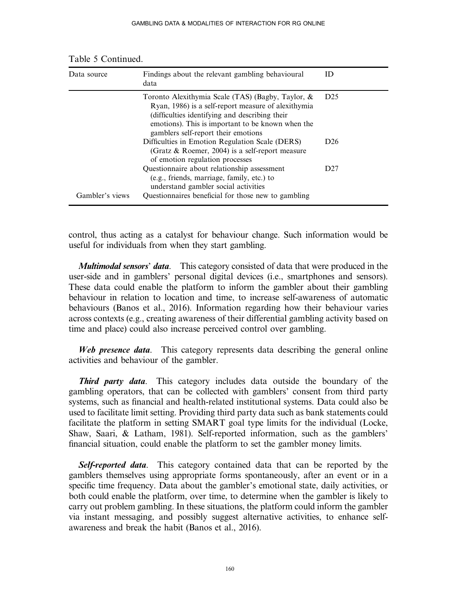| Data source     | Findings about the relevant gambling behavioural<br>data                                                                                                                                                                                                | ID              |
|-----------------|---------------------------------------------------------------------------------------------------------------------------------------------------------------------------------------------------------------------------------------------------------|-----------------|
|                 | Toronto Alexithymia Scale (TAS) (Bagby, Taylor, &<br>Ryan, 1986) is a self-report measure of alexithymia<br>(difficulties identifying and describing their)<br>emotions). This is important to be known when the<br>gamblers self-report their emotions | D <sub>25</sub> |
|                 | Difficulties in Emotion Regulation Scale (DERS)<br>(Gratz $\&$ Roemer, 2004) is a self-report measure<br>of emotion regulation processes                                                                                                                | D26             |
| Gambler's views | Questionnaire about relationship assessment<br>(e.g., friends, marriage, family, etc.) to<br>understand gambler social activities<br>Questionnaires beneficial for those new to gambling                                                                | D27             |

Table 5 Continued.

control, thus acting as a catalyst for behaviour change. Such information would be useful for individuals from when they start gambling.

**Multimodal sensors' data.** This category consisted of data that were produced in the user-side and in gamblers' personal digital devices (i.e., smartphones and sensors). These data could enable the platform to inform the gambler about their gambling behaviour in relation to location and time, to increase self-awareness of automatic behaviours (Banos et al., 2016). Information regarding how their behaviour varies across contexts (e.g., creating awareness of their differential gambling activity based on time and place) could also increase perceived control over gambling.

Web presence data. This category represents data describing the general online activities and behaviour of the gambler.

**Third party data.** This category includes data outside the boundary of the gambling operators, that can be collected with gamblers' consent from third party systems, such as financial and health-related institutional systems. Data could also be used to facilitate limit setting. Providing third party data such as bank statements could facilitate the platform in setting SMART goal type limits for the individual (Locke, Shaw, Saari, & Latham, 1981). Self-reported information, such as the gamblers' financial situation, could enable the platform to set the gambler money limits.

Self-reported data. This category contained data that can be reported by the gamblers themselves using appropriate forms spontaneously, after an event or in a specific time frequency. Data about the gambler's emotional state, daily activities, or both could enable the platform, over time, to determine when the gambler is likely to carry out problem gambling. In these situations, the platform could inform the gambler via instant messaging, and possibly suggest alternative activities, to enhance selfawareness and break the habit (Banos et al., 2016).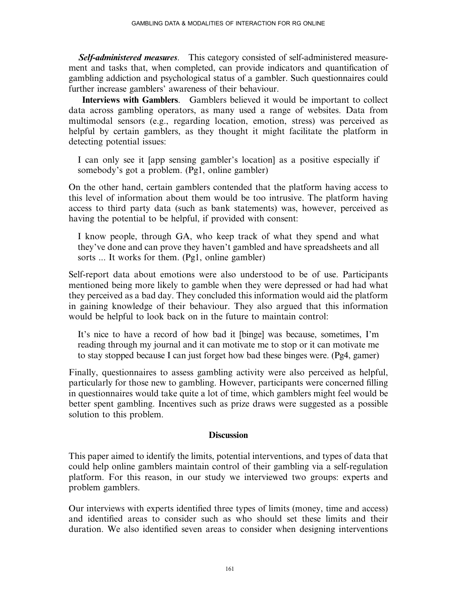Self-administered measures. This category consisted of self-administered measurement and tasks that, when completed, can provide indicators and quantification of gambling addiction and psychological status of a gambler. Such questionnaires could further increase gamblers' awareness of their behaviour.

Interviews with Gamblers. Gamblers believed it would be important to collect data across gambling operators, as many used a range of websites. Data from multimodal sensors (e.g., regarding location, emotion, stress) was perceived as helpful by certain gamblers, as they thought it might facilitate the platform in detecting potential issues:

I can only see it [app sensing gambler's location] as a positive especially if somebody's got a problem. (Pg1, online gambler)

On the other hand, certain gamblers contended that the platform having access to this level of information about them would be too intrusive. The platform having access to third party data (such as bank statements) was, however, perceived as having the potential to be helpful, if provided with consent:

I know people, through GA, who keep track of what they spend and what they've done and can prove they haven't gambled and have spreadsheets and all sorts ... It works for them. (Pg1, online gambler)

Self-report data about emotions were also understood to be of use. Participants mentioned being more likely to gamble when they were depressed or had had what they perceived as a bad day. They concluded this information would aid the platform in gaining knowledge of their behaviour. They also argued that this information would be helpful to look back on in the future to maintain control:

It's nice to have a record of how bad it [binge] was because, sometimes, I'm reading through my journal and it can motivate me to stop or it can motivate me to stay stopped because I can just forget how bad these binges were. (Pg4, gamer)

Finally, questionnaires to assess gambling activity were also perceived as helpful, particularly for those new to gambling. However, participants were concerned filling in questionnaires would take quite a lot of time, which gamblers might feel would be better spent gambling. Incentives such as prize draws were suggested as a possible solution to this problem.

## **Discussion**

This paper aimed to identify the limits, potential interventions, and types of data that could help online gamblers maintain control of their gambling via a self-regulation platform. For this reason, in our study we interviewed two groups: experts and problem gamblers.

Our interviews with experts identified three types of limits (money, time and access) and identified areas to consider such as who should set these limits and their duration. We also identified seven areas to consider when designing interventions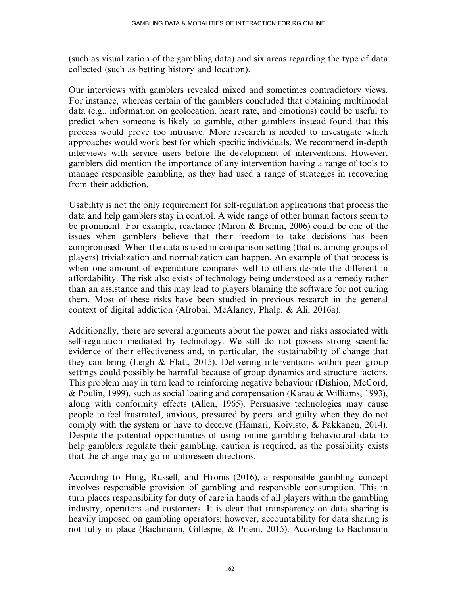(such as visualization of the gambling data) and six areas regarding the type of data collected (such as betting history and location).

Our interviews with gamblers revealed mixed and sometimes contradictory views. For instance, whereas certain of the gamblers concluded that obtaining multimodal data (e.g., information on geolocation, heart rate, and emotions) could be useful to predict when someone is likely to gamble, other gamblers instead found that this process would prove too intrusive. More research is needed to investigate which approaches would work best for which specific individuals. We recommend in-depth interviews with service users before the development of interventions. However, gamblers did mention the importance of any intervention having a range of tools to manage responsible gambling, as they had used a range of strategies in recovering from their addiction.

Usability is not the only requirement for self-regulation applications that process the data and help gamblers stay in control. A wide range of other human factors seem to be prominent. For example, reactance (Miron & Brehm, 2006) could be one of the issues when gamblers believe that their freedom to take decisions has been compromised. When the data is used in comparison setting (that is, among groups of players) trivialization and normalization can happen. An example of that process is when one amount of expenditure compares well to others despite the different in affordability. The risk also exists of technology being understood as a remedy rather than an assistance and this may lead to players blaming the software for not curing them. Most of these risks have been studied in previous research in the general context of digital addiction (Alrobai, McAlaney, Phalp, & Ali, 2016a).

Additionally, there are several arguments about the power and risks associated with self-regulation mediated by technology. We still do not possess strong scientific evidence of their effectiveness and, in particular, the sustainability of change that they can bring (Leigh  $\&$  Flatt, 2015). Delivering interventions within peer group settings could possibly be harmful because of group dynamics and structure factors. This problem may in turn lead to reinforcing negative behaviour (Dishion, McCord, & Poulin, 1999), such as social loafing and compensation (Karau & Williams, 1993), along with conformity effects (Allen, 1965). Persuasive technologies may cause people to feel frustrated, anxious, pressured by peers, and guilty when they do not comply with the system or have to deceive (Hamari, Koivisto, & Pakkanen, 2014). Despite the potential opportunities of using online gambling behavioural data to help gamblers regulate their gambling, caution is required, as the possibility exists that the change may go in unforeseen directions.

According to Hing, Russell, and Hronis (2016), a responsible gambling concept involves responsible provision of gambling and responsible consumption. This in turn places responsibility for duty of care in hands of all players within the gambling industry, operators and customers. It is clear that transparency on data sharing is heavily imposed on gambling operators; however, accountability for data sharing is not fully in place (Bachmann, Gillespie, & Priem, 2015). According to Bachmann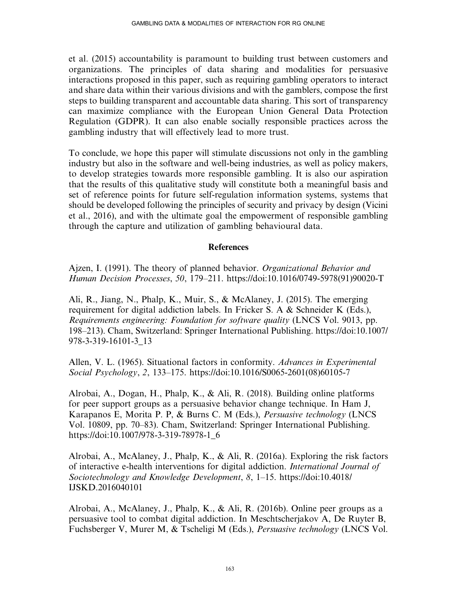et al. (2015) accountability is paramount to building trust between customers and organizations. The principles of data sharing and modalities for persuasive interactions proposed in this paper, such as requiring gambling operators to interact and share data within their various divisions and with the gamblers, compose the first steps to building transparent and accountable data sharing. This sort of transparency can maximize compliance with the European Union General Data Protection Regulation (GDPR). It can also enable socially responsible practices across the gambling industry that will effectively lead to more trust.

To conclude, we hope this paper will stimulate discussions not only in the gambling industry but also in the software and well-being industries, as well as policy makers, to develop strategies towards more responsible gambling. It is also our aspiration that the results of this qualitative study will constitute both a meaningful basis and set of reference points for future self-regulation information systems, systems that should be developed following the principles of security and privacy by design (Vicini et al., 2016), and with the ultimate goal the empowerment of responsible gambling through the capture and utilization of gambling behavioural data.

## References

Ajzen, I. (1991). The theory of planned behavior. Organizational Behavior and Human Decision Processes, 50, 179–211. [https://doi:10.1016/0749-5978\(91\)90020-T](https://doi:10.1016/0749-5978(91(90020-T)

Ali, R., Jiang, N., Phalp, K., Muir, S., & McAlaney, J. (2015). The emerging requirement for digital addiction labels. In Fricker S. A & Schneider K (Eds.), Requirements engineering: Foundation for software quality (LNCS Vol. 9013, pp. 198–213). Cham, Switzerland: Springer International Publishing. [https://doi:10.1007/](https://doi:10.1007/978-3-319-16101-3_13) [978-3-319-16101-3\\_13](https://doi:10.1007/978-3-319-16101-3_13)

Allen, V. L. (1965). Situational factors in conformity. Advances in Experimental Social Psychology, 2, 133–175. [https://doi:10.1016/S0065-2601\(08\)60105-7](https://doi:10.1016/S0065-2601(08(60105-7)

Alrobai, A., Dogan, H., Phalp, K., & Ali, R. (2018). Building online platforms for peer support groups as a persuasive behavior change technique. In Ham J, Karapanos E, Morita P. P, & Burns C. M (Eds.), Persuasive technology (LNCS Vol. 10809, pp. 70–83). Cham, Switzerland: Springer International Publishing. [https://doi:10.1007/978-3-319-78978-1\\_6](https://doi:10.1007/978-3-319-78978-1_6)

Alrobai, A., McAlaney, J., Phalp, K., & Ali, R. (2016a). Exploring the risk factors of interactive e-health interventions for digital addiction. International Journal of Sociotechnology and Knowledge Development, 8, 1–15. [https://doi:10.4018/](https://doi:10.4018/IJSKD.2016040101) [IJSKD.2016040101](https://doi:10.4018/IJSKD.2016040101)

Alrobai, A., McAlaney, J., Phalp, K., & Ali, R. (2016b). Online peer groups as a persuasive tool to combat digital addiction. In Meschtscherjakov A, De Ruyter B, Fuchsberger V, Murer M, & Tscheligi M (Eds.), Persuasive technology (LNCS Vol.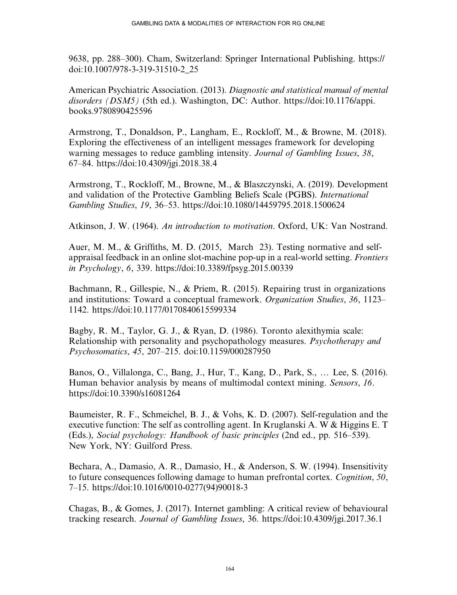9638, pp. 288–300). Cham, Switzerland: Springer International Publishing. [https://](https://doi:10.1007/978-3-319-31510-2_25) [doi:10.1007/978-3-319-31510-2\\_25](https://doi:10.1007/978-3-319-31510-2_25)

American Psychiatric Association. (2013). Diagnostic and statistical manual of mental disorders (DSM5) (5th ed.). Washington, DC: Author. [https://doi:10.1176/appi.](https://doi:10.1176/appi.books.9780890425596) [books.9780890425596](https://doi:10.1176/appi.books.9780890425596)

Armstrong, T., Donaldson, P., Langham, E., Rockloff, M., & Browne, M. (2018). Exploring the effectiveness of an intelligent messages framework for developing warning messages to reduce gambling intensity. Journal of Gambling Issues, 38, 67–84.<https://doi:10.4309/jgi.2018.38.4>

Armstrong, T., Rockloff, M., Browne, M., & Blaszczynski, A. (2019). Development and validation of the Protective Gambling Beliefs Scale (PGBS). International Gambling Studies, 19, 36–53.<https://doi:10.1080/14459795.2018.1500624>

Atkinson, J. W. (1964). An introduction to motivation. Oxford, UK: Van Nostrand.

Auer, M. M., & Griffiths, M. D. (2015, March 23). Testing normative and selfappraisal feedback in an online slot-machine pop-up in a real-world setting. Frontiers in Psychology, 6, 339.<https://doi:10.3389/fpsyg.2015.00339>

Bachmann, R., Gillespie, N., & Priem, R. (2015). Repairing trust in organizations and institutions: Toward a conceptual framework. Organization Studies, 36, 1123– 1142.<https://doi:10.1177/0170840615599334>

Bagby, R. M., Taylor, G. J., & Ryan, D. (1986). Toronto alexithymia scale: Relationship with personality and psychopathology measures. Psychotherapy and Psychosomatics, 45, 207–215. doi:10.1159/000287950

Banos, O., Villalonga, C., Bang, J., Hur, T., Kang, D., Park, S., ... Lee, S. (2016). Human behavior analysis by means of multimodal context mining. Sensors, 16. <https://doi:10.3390/s16081264>

Baumeister, R. F., Schmeichel, B. J., & Vohs, K. D. (2007). Self-regulation and the executive function: The self as controlling agent. In Kruglanski A. W & Higgins E. T (Eds.), Social psychology: Handbook of basic principles (2nd ed., pp. 516–539). New York, NY: Guilford Press.

Bechara, A., Damasio, A. R., Damasio, H., & Anderson, S. W. (1994). Insensitivity to future consequences following damage to human prefrontal cortex. Cognition, 50, 7–15. [https://doi:10.1016/0010-0277\(94\)90018-3](https://doi:10.1016/0010-0277(94(90018-3)

Chagas, B., & Gomes, J. (2017). Internet gambling: A critical review of behavioural tracking research. Journal of Gambling Issues, 36.<https://doi:10.4309/jgi.2017.36.1>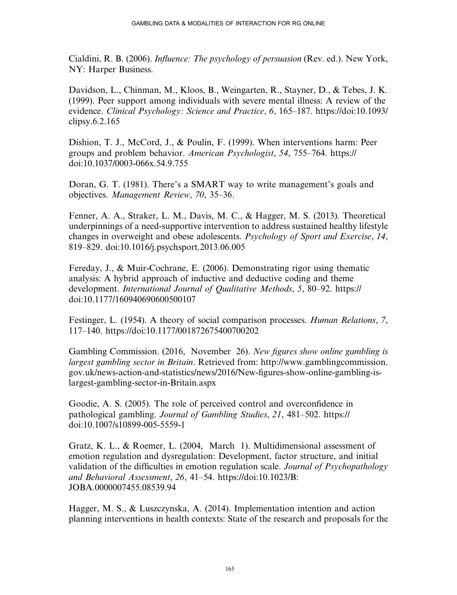Cialdini, R. B. (2006). Influence: The psychology of persuasion (Rev. ed.). New York, NY: Harper Business.

Davidson, L., Chinman, M., Kloos, B., Weingarten, R., Stayner, D., & Tebes, J. K. (1999). Peer support among individuals with severe mental illness: A review of the evidence. Clinical Psychology: Science and Practice, 6, 165–187. [https://doi:10.1093/](https://doi:10.1093/clipsy.6.2.165) [clipsy.6.2.165](https://doi:10.1093/clipsy.6.2.165)

Dishion, T. J., McCord, J., & Poulin, F. (1999). When interventions harm: Peer groups and problem behavior. American Psychologist, 54, 755–764. [https://](https://doi:10.1037/0003-066x.54.9.755) [doi:10.1037/0003-066x.54.9.755](https://doi:10.1037/0003-066x.54.9.755)

Doran, G. T. (1981). There's a SMART way to write management's goals and objectives. Management Review, 70, 35–36.

Fenner, A. A., Straker, L. M., Davis, M. C., & Hagger, M. S. (2013). Theoretical underpinnings of a need-supportive intervention to address sustained healthy lifestyle changes in overweight and obese adolescents. Psychology of Sport and Exercise, 14, 819–829. doi:10.1016/j.psychsport.2013.06.005

Fereday, J., & Muir-Cochrane, E. (2006). Demonstrating rigor using thematic analysis: A hybrid approach of inductive and deductive coding and theme development. International Journal of Qualitative Methods, 5, 80–92. [https://](https://doi:10.1177/160940690600500107) [doi:10.1177/160940690600500107](https://doi:10.1177/160940690600500107)

Festinger, L. (1954). A theory of social comparison processes. Human Relations, 7, 117–140.<https://doi:10.1177/001872675400700202>

Gambling Commission. (2016, November 26). New figures show online gambling is largest gambling sector in Britain. Retrieved from: [http://www.gamblingcommission.](http://www.gamblingcommission.gov.uk/news-action-and-statistics/news/2016/New-figures-show-online-gambling-is-largest-gambling-sector-in-Britain.aspx) [gov.uk/news-action-and-statistics/news/2016/New-](http://www.gamblingcommission.gov.uk/news-action-and-statistics/news/2016/New-figures-show-online-gambling-is-largest-gambling-sector-in-Britain.aspx)figures-show-online-gambling-is[largest-gambling-sector-in-Britain.aspx](http://www.gamblingcommission.gov.uk/news-action-and-statistics/news/2016/New-figures-show-online-gambling-is-largest-gambling-sector-in-Britain.aspx)

Goodie, A. S. (2005). The role of perceived control and overconfidence in pathological gambling. Journal of Gambling Studies, 21, 481–502. [https://](https://doi:10.1007/s10899-005-5559-1) [doi:10.1007/s10899-005-5559-1](https://doi:10.1007/s10899-005-5559-1)

Gratz, K. L., & Roemer, L. (2004, March 1). Multidimensional assessment of emotion regulation and dysregulation: Development, factor structure, and initial validation of the difficulties in emotion regulation scale. Journal of Psychopathology and Behavioral Assessment, 26, 41–54. [https://doi:10.1023/B:](https://doi:10.1023/B:JOBA.0000007455.08539.94) [JOBA.0000007455.08539.94](https://doi:10.1023/B:JOBA.0000007455.08539.94)

Hagger, M. S., & Luszczynska, A. (2014). Implementation intention and action planning interventions in health contexts: State of the research and proposals for the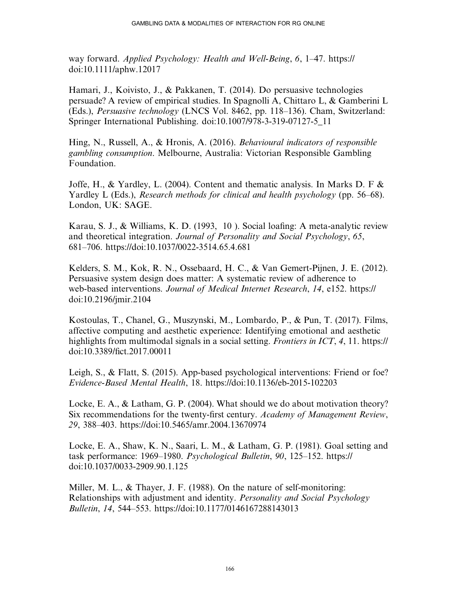way forward. Applied Psychology: Health and Well-Being, 6, 1–47. [https://](https://doi:10.1111/aphw.12017) [doi:10.1111/aphw.12017](https://doi:10.1111/aphw.12017)

Hamari, J., Koivisto, J., & Pakkanen, T. (2014). Do persuasive technologies persuade? A review of empirical studies. In Spagnolli A, Chittaro L, & Gamberini L (Eds.), Persuasive technology (LNCS Vol. 8462, pp. 118–136). Cham, Switzerland: Springer International Publishing. doi:10.1007/978-3-319-07127-5\_11

Hing, N., Russell, A., & Hronis, A. (2016). Behavioural indicators of responsible gambling consumption. Melbourne, Australia: Victorian Responsible Gambling Foundation.

Joffe, H., & Yardley, L. (2004). Content and thematic analysis. In Marks D. F  $\&$ Yardley L (Eds.), Research methods for clinical and health psychology (pp. 56–68). London, UK: SAGE.

Karau, S. J., & Williams, K. D. (1993, 10 ). Social loafing: A meta-analytic review and theoretical integration. Journal of Personality and Social Psychology, 65, 681–706.<https://doi:10.1037/0022-3514.65.4.681>

Kelders, S. M., Kok, R. N., Ossebaard, H. C., & Van Gemert-Pijnen, J. E. (2012). Persuasive system design does matter: A systematic review of adherence to web-based interventions. Journal of Medical Internet Research, 14, e152. [https://](https://doi:10.2196/jmir.2104) [doi:10.2196/jmir.2104](https://doi:10.2196/jmir.2104)

Kostoulas, T., Chanel, G., Muszynski, M., Lombardo, P., & Pun, T. (2017). Films, affective computing and aesthetic experience: Identifying emotional and aesthetic highlights from multimodal signals in a social setting. *Frontiers in ICT*, 4, 11. [https://](https://doi:10.3389/fict.2017.00011) doi:10.3389/fi[ct.2017.00011](https://doi:10.3389/fict.2017.00011)

Leigh, S., & Flatt, S. (2015). App-based psychological interventions: Friend or foe? Evidence-Based Mental Health, 18.<https://doi:10.1136/eb-2015-102203>

Locke, E. A., & Latham, G. P. (2004). What should we do about motivation theory? Six recommendations for the twenty-first century. Academy of Management Review, 29, 388–403.<https://doi:10.5465/amr.2004.13670974>

Locke, E. A., Shaw, K. N., Saari, L. M., & Latham, G. P. (1981). Goal setting and task performance: 1969–1980. Psychological Bulletin, 90, 125–152. [https://](https://doi:10.1037/0033-2909.90.1.125) [doi:10.1037/0033-2909.90.1.125](https://doi:10.1037/0033-2909.90.1.125)

Miller, M. L., & Thayer, J. F. (1988). On the nature of self-monitoring: Relationships with adjustment and identity. Personality and Social Psychology Bulletin, 14, 544–553.<https://doi:10.1177/0146167288143013>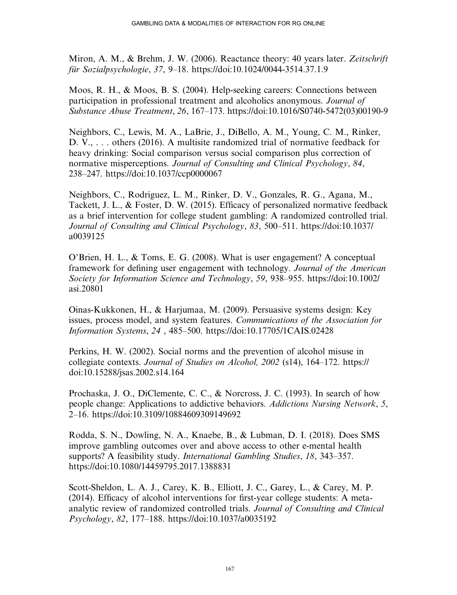Miron, A. M., & Brehm, J. W. (2006). Reactance theory: 40 years later. Zeitschrift für Sozialpsychologie, 37, 9–18.<https://doi:10.1024/0044-3514.37.1.9>

Moos, R. H., & Moos, B. S. (2004). Help-seeking careers: Connections between participation in professional treatment and alcoholics anonymous. Journal of Substance Abuse Treatment, 26, 167–173. [https://doi:10.1016/S0740-5472\(03\)00190-9](https://doi:10.1016/S0740-5472(03(00190-9)

Neighbors, C., Lewis, M. A., LaBrie, J., DiBello, A. M., Young, C. M., Rinker, D. V., . . . others (2016). A multisite randomized trial of normative feedback for heavy drinking: Social comparison versus social comparison plus correction of normative misperceptions. Journal of Consulting and Clinical Psychology, 84, 238–247.<https://doi:10.1037/ccp0000067>

Neighbors, C., Rodriguez, L. M., Rinker, D. V., Gonzales, R. G., Agana, M., Tackett, J. L., & Foster, D. W. (2015). Efficacy of personalized normative feedback as a brief intervention for college student gambling: A randomized controlled trial. Journal of Consulting and Clinical Psychology, 83, 500–511. [https://doi:10.1037/](https://doi:10.1037/a0039125) [a0039125](https://doi:10.1037/a0039125)

O'Brien, H. L., & Toms, E. G. (2008). What is user engagement? A conceptual framework for defining user engagement with technology. Journal of the American Society for Information Science and Technology, 59, 938–955. [https://doi:10.1002/](https://doi:10.1002/asi.20801) [asi.20801](https://doi:10.1002/asi.20801)

Oinas-Kukkonen, H., & Harjumaa, M. (2009). Persuasive systems design: Key issues, process model, and system features. Communications of the Association for Information Systems, 24 , 485–500.<https://doi:10.17705/1CAIS.02428>

Perkins, H. W. (2002). Social norms and the prevention of alcohol misuse in collegiate contexts. Journal of Studies on Alcohol, 2002 (s14), 164–172. [https://](https://doi:10.15288/jsas.2002.s14.164) [doi:10.15288/jsas.2002.s14.164](https://doi:10.15288/jsas.2002.s14.164)

Prochaska, J. O., DiClemente, C. C., & Norcross, J. C. (1993). In search of how people change: Applications to addictive behaviors. Addictions Nursing Network, 5, 2–16.<https://doi:10.3109/10884609309149692>

Rodda, S. N., Dowling, N. A., Knaebe, B., & Lubman, D. I. (2018). Does SMS improve gambling outcomes over and above access to other e-mental health supports? A feasibility study. *International Gambling Studies*, 18, 343–357. <https://doi:10.1080/14459795.2017.1388831>

Scott-Sheldon, L. A. J., Carey, K. B., Elliott, J. C., Garey, L., & Carey, M. P. (2014). Efficacy of alcohol interventions for first-year college students: A metaanalytic review of randomized controlled trials. Journal of Consulting and Clinical Psychology, 82, 177–188.<https://doi:10.1037/a0035192>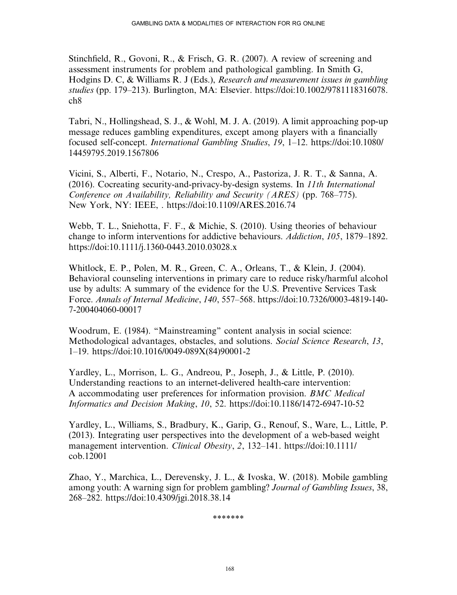Stinchfield, R., Govoni, R., & Frisch, G. R. (2007). A review of screening and assessment instruments for problem and pathological gambling. In Smith G, Hodgins D. C, & Williams R. J (Eds.), Research and measurement issues in gambling studies (pp. 179–213). Burlington, MA: Elsevier. [https://doi:10.1002/9781118316078.](https://doi:10.1002/9781118316078.ch8) [ch8](https://doi:10.1002/9781118316078.ch8)

Tabri, N., Hollingshead, S. J., & Wohl, M. J. A. (2019). A limit approaching pop-up message reduces gambling expenditures, except among players with a financially focused self-concept. International Gambling Studies, 19, 1–12. [https://doi:10.1080/](https://doi:10.1080/14459795.2019.1567806) [14459795.2019.1567806](https://doi:10.1080/14459795.2019.1567806)

Vicini, S., Alberti, F., Notario, N., Crespo, A., Pastoriza, J. R. T., & Sanna, A. (2016). Cocreating security-and-privacy-by-design systems. In 11th International Conference on Availability, Reliability and Security (ARES) (pp. 768–775). New York, NY: IEEE, .<https://doi:10.1109/ARES.2016.74>

Webb, T. L., Sniehotta, F. F., & Michie, S. (2010). Using theories of behaviour change to inform interventions for addictive behaviours. Addiction, 105, 1879–1892. <https://doi:10.1111/j.1360-0443.2010.03028.x>

Whitlock, E. P., Polen, M. R., Green, C. A., Orleans, T., & Klein, J. (2004). Behavioral counseling interventions in primary care to reduce risky/harmful alcohol use by adults: A summary of the evidence for the U.S. Preventive Services Task Force. Annals of Internal Medicine, 140, 557–568. [https://doi:10.7326/0003-4819-140-](https://doi:10.7326/0003-4819-140-7-200404060-00017) [7-200404060-00017](https://doi:10.7326/0003-4819-140-7-200404060-00017)

Woodrum, E. (1984). ''Mainstreaming'' content analysis in social science: Methodological advantages, obstacles, and solutions. Social Science Research, 13, 1–19. [https://doi:10.1016/0049-089X\(84\)90001-2](https://doi:10.1016/0049-089X(84(90001-2)

Yardley, L., Morrison, L. G., Andreou, P., Joseph, J., & Little, P. (2010). Understanding reactions to an internet-delivered health-care intervention: A accommodating user preferences for information provision. BMC Medical Informatics and Decision Making, 10, 52.<https://doi:10.1186/1472-6947-10-52>

Yardley, L., Williams, S., Bradbury, K., Garip, G., Renouf, S., Ware, L., Little, P. (2013). Integrating user perspectives into the development of a web-based weight management intervention. Clinical Obesity, 2, 132–141. [https://doi:10.1111/](https://doi:10.1111/cob.12001) [cob.12001](https://doi:10.1111/cob.12001)

Zhao, Y., Marchica, L., Derevensky, J. L., & Ivoska, W. (2018). Mobile gambling among youth: A warning sign for problem gambling? Journal of Gambling Issues, 38, 268–282.<https://doi:10.4309/jgi.2018.38.14>

\*\*\*\*\*\*\*